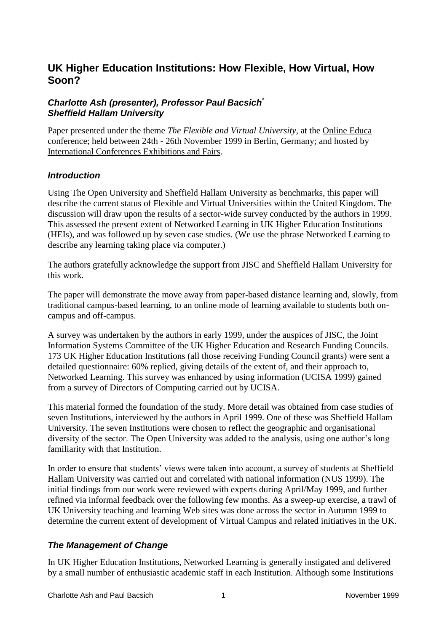# **UK Higher Education Institutions: How Flexible, How Virtual, How Soon?**

#### *Charlotte Ash (presenter), Professor Paul Bacsich*\* *Sheffield Hallam University*

Paper presented under the theme *The Flexible and Virtual University*, at the [Online Educa](http://www.online-educa.com/) conference; held between 24th - 26th November 1999 in Berlin, Germany; and hosted by [International Conferences Exhibitions and Fairs.](http://www.icef.com/)

#### *Introduction*

Using The Open University and Sheffield Hallam University as benchmarks, this paper will describe the current status of Flexible and Virtual Universities within the United Kingdom. The discussion will draw upon the results of a sector-wide survey conducted by the authors in 1999. This assessed the present extent of Networked Learning in UK Higher Education Institutions (HEIs), and was followed up by seven case studies. (We use the phrase Networked Learning to describe any learning taking place via computer.)

The authors gratefully acknowledge the support from JISC and Sheffield Hallam University for this work.

The paper will demonstrate the move away from paper-based distance learning and, slowly, from traditional campus-based learning, to an online mode of learning available to students both oncampus and off-campus.

A survey was undertaken by the authors in early 1999, under the auspices of JISC, the Joint Information Systems Committee of the UK Higher Education and Research Funding Councils. 173 UK Higher Education Institutions (all those receiving Funding Council grants) were sent a detailed questionnaire: 60% replied, giving details of the extent of, and their approach to, Networked Learning. This survey was enhanced by using information (UCISA 1999) gained from a survey of Directors of Computing carried out by UCISA.

This material formed the foundation of the study. More detail was obtained from case studies of seven Institutions, interviewed by the authors in April 1999. One of these was Sheffield Hallam University. The seven Institutions were chosen to reflect the geographic and organisational diversity of the sector. The Open University was added to the analysis, using one author's long familiarity with that Institution.

In order to ensure that students' views were taken into account, a survey of students at Sheffield Hallam University was carried out and correlated with national information (NUS 1999). The initial findings from our work were reviewed with experts during April/May 1999, and further refined via informal feedback over the following few months. As a sweep-up exercise, a trawl of UK University teaching and learning Web sites was done across the sector in Autumn 1999 to determine the current extent of development of Virtual Campus and related initiatives in the UK.

## *The Management of Change*

In UK Higher Education Institutions, Networked Learning is generally instigated and delivered by a small number of enthusiastic academic staff in each Institution. Although some Institutions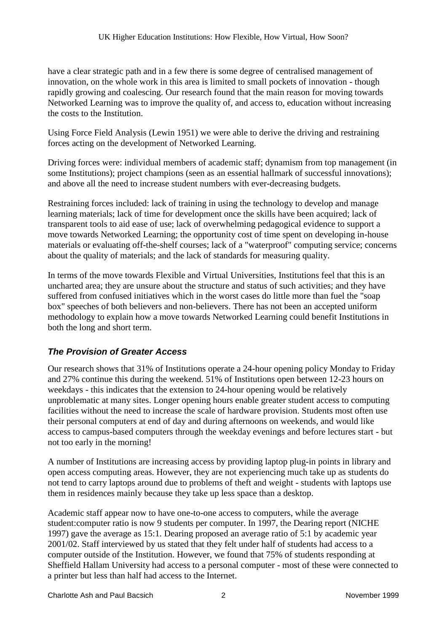have a clear strategic path and in a few there is some degree of centralised management of innovation, on the whole work in this area is limited to small pockets of innovation - though rapidly growing and coalescing. Our research found that the main reason for moving towards Networked Learning was to improve the quality of, and access to, education without increasing the costs to the Institution.

Using Force Field Analysis (Lewin 1951) we were able to derive the driving and restraining forces acting on the development of Networked Learning.

Driving forces were: individual members of academic staff; dynamism from top management (in some Institutions); project champions (seen as an essential hallmark of successful innovations); and above all the need to increase student numbers with ever-decreasing budgets.

Restraining forces included: lack of training in using the technology to develop and manage learning materials; lack of time for development once the skills have been acquired; lack of transparent tools to aid ease of use; lack of overwhelming pedagogical evidence to support a move towards Networked Learning; the opportunity cost of time spent on developing in-house materials or evaluating off-the-shelf courses; lack of a "waterproof" computing service; concerns about the quality of materials; and the lack of standards for measuring quality.

In terms of the move towards Flexible and Virtual Universities, Institutions feel that this is an uncharted area; they are unsure about the structure and status of such activities; and they have suffered from confused initiatives which in the worst cases do little more than fuel the "soap box" speeches of both believers and non-believers. There has not been an accepted uniform methodology to explain how a move towards Networked Learning could benefit Institutions in both the long and short term.

#### *The Provision of Greater Access*

Our research shows that 31% of Institutions operate a 24-hour opening policy Monday to Friday and 27% continue this during the weekend. 51% of Institutions open between 12-23 hours on weekdays - this indicates that the extension to 24-hour opening would be relatively unproblematic at many sites. Longer opening hours enable greater student access to computing facilities without the need to increase the scale of hardware provision. Students most often use their personal computers at end of day and during afternoons on weekends, and would like access to campus-based computers through the weekday evenings and before lectures start - but not too early in the morning!

A number of Institutions are increasing access by providing laptop plug-in points in library and open access computing areas. However, they are not experiencing much take up as students do not tend to carry laptops around due to problems of theft and weight - students with laptops use them in residences mainly because they take up less space than a desktop.

Academic staff appear now to have one-to-one access to computers, while the average student:computer ratio is now 9 students per computer. In 1997, the Dearing report (NICHE 1997) gave the average as 15:1. Dearing proposed an average ratio of 5:1 by academic year 2001/02. Staff interviewed by us stated that they felt under half of students had access to a computer outside of the Institution. However, we found that 75% of students responding at Sheffield Hallam University had access to a personal computer - most of these were connected to a printer but less than half had access to the Internet.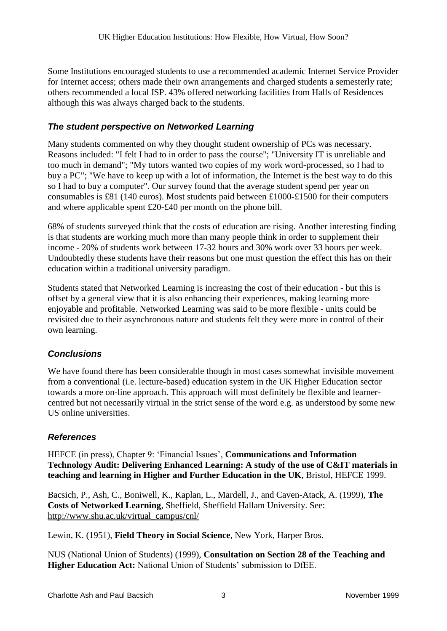Some Institutions encouraged students to use a recommended academic Internet Service Provider for Internet access; others made their own arrangements and charged students a semesterly rate; others recommended a local ISP. 43% offered networking facilities from Halls of Residences although this was always charged back to the students.

### *The student perspective on Networked Learning*

Many students commented on why they thought student ownership of PCs was necessary. Reasons included: "I felt I had to in order to pass the course"; "University IT is unreliable and too much in demand"; "My tutors wanted two copies of my work word-processed, so I had to buy a PC"; "We have to keep up with a lot of information, the Internet is the best way to do this so I had to buy a computer". Our survey found that the average student spend per year on consumables is £81 (140 euros). Most students paid between £1000-£1500 for their computers and where applicable spent £20-£40 per month on the phone bill.

68% of students surveyed think that the costs of education are rising. Another interesting finding is that students are working much more than many people think in order to supplement their income - 20% of students work between 17-32 hours and 30% work over 33 hours per week. Undoubtedly these students have their reasons but one must question the effect this has on their education within a traditional university paradigm.

Students stated that Networked Learning is increasing the cost of their education - but this is offset by a general view that it is also enhancing their experiences, making learning more enjoyable and profitable. Networked Learning was said to be more flexible - units could be revisited due to their asynchronous nature and students felt they were more in control of their own learning.

## *Conclusions*

We have found there has been considerable though in most cases somewhat invisible movement from a conventional (i.e. lecture-based) education system in the UK Higher Education sector towards a more on-line approach. This approach will most definitely be flexible and learnercentred but not necessarily virtual in the strict sense of the word e.g. as understood by some new US online universities.

#### *References*

HEFCE (in press), Chapter 9: 'Financial Issues', **Communications and Information Technology Audit: Delivering Enhanced Learning: A study of the use of C&IT materials in teaching and learning in Higher and Further Education in the UK**, Bristol, HEFCE 1999.

Bacsich, P., Ash, C., Boniwell, K., Kaplan, L., Mardell, J., and Caven-Atack, A. (1999), **The Costs of Networked Learning**, Sheffield, Sheffield Hallam University. See: [http://www.shu.ac.uk/virtual\\_campus/cnl/](http://www.shu.ac.uk/virtual_campus/cnl/index.htm)

Lewin, K. (1951), **Field Theory in Social Science**, New York, Harper Bros.

NUS (National Union of Students) (1999), **Consultation on Section 28 of the Teaching and Higher Education Act:** National Union of Students' submission to DfEE.